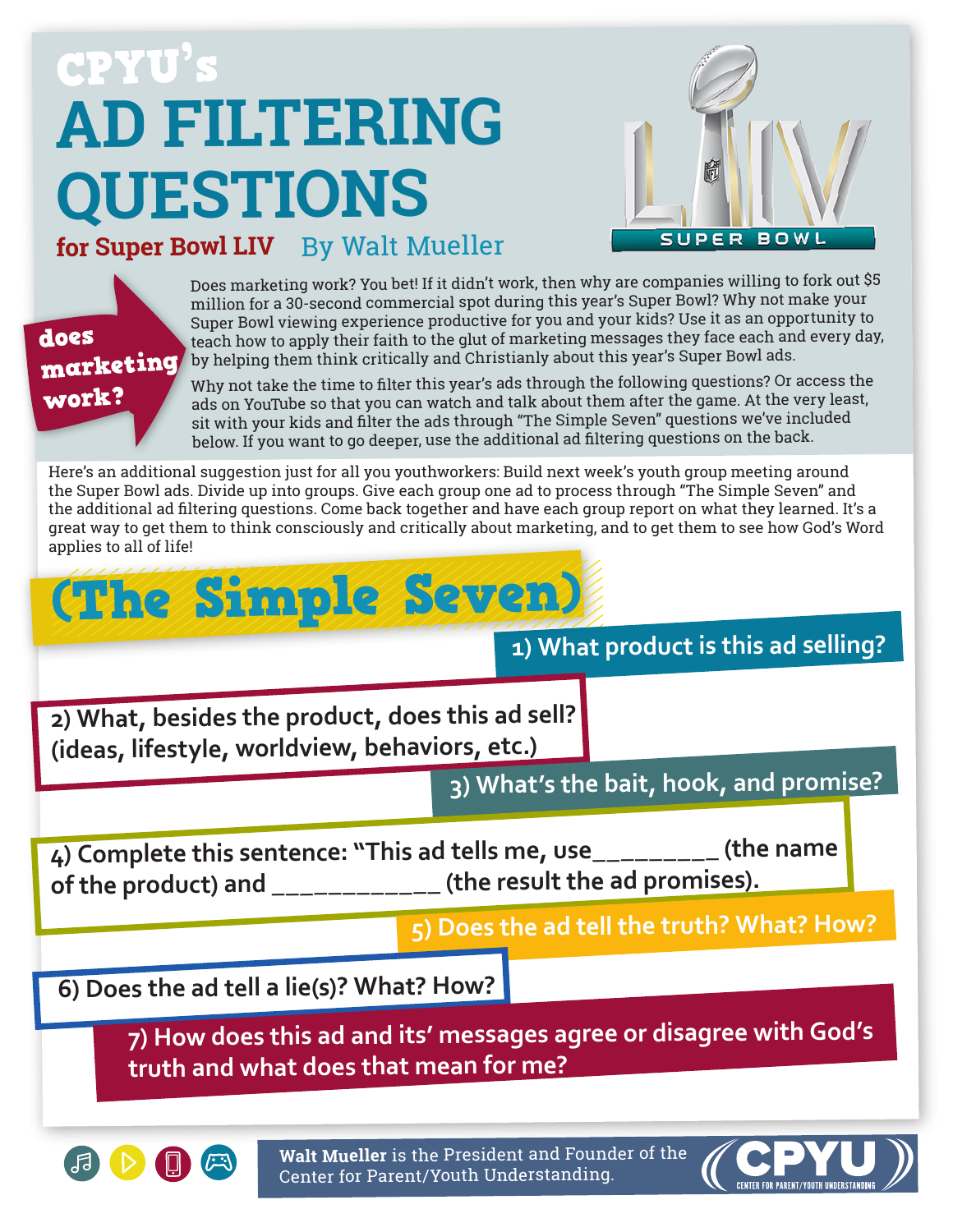# **AD FILTERING QUESTIONS** CPYU's



#### **for Super Bowl LIV** By Walt Mueller



Does marketing work? You bet! If it didn't work, then why are companies willing to fork out \$5 million for a 30-second commercial spot during this year's Super Bowl? Why not make your Super Bowl viewing experience productive for you and your kids? Use it as an opportunity to teach how to apply their faith to the glut of marketing messages they face each and every day, by helping them think critically and Christianly about this year's Super Bowl ads.

Why not take the time to filter this year's ads through the following questions? Or access the ads on YouTube so that you can watch and talk about them after the game. At the very least, sit with your kids and filter the ads through "The Simple Seven" questions we've included below. If you want to go deeper, use the additional ad filtering questions on the back.

Here's an additional suggestion just for all you youthworkers: Build next week's youth group meeting around the Super Bowl ads. Divide up into groups. Give each group one ad to process through "The Simple Seven" and the additional ad filtering questions. Come back together and have each group report on what they learned. It's a great way to get them to think consciously and critically about marketing, and to get them to see how God's Word applies to all of life!

## (The Simple Seven)

#### **1) What product is this ad selling?**

**2) What, besides the product, does this ad sell? (ideas, lifestyle, worldview, behaviors, etc.)**

**3) What's the bait, hook, and promise?**

**4) Complete this sentence: "This ad tells me, use\_\_\_\_\_\_\_\_\_ (the name of the product) and \_\_\_\_\_\_\_\_\_\_\_\_ (the result the ad promises).**

**5) Does the ad tell the truth? What? How?**

**6) Does the ad tell a lie(s)? What? How?**

**7) How does this ad and its' messages agree or disagree with God's truth and what does that mean for me?**



**Walt Mueller** is the President and Founder of the Center for Parent/Youth Understanding.